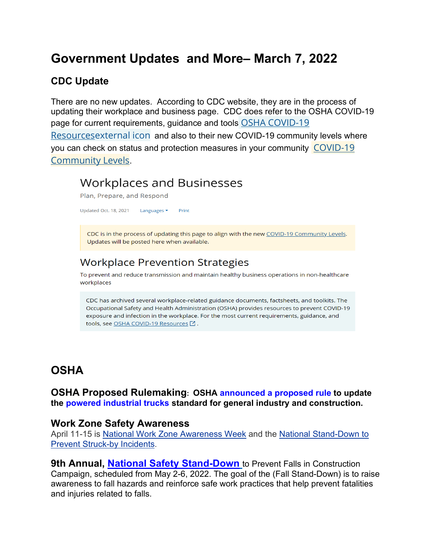# **Government Updates and More– March 7, 2022**

## **CDC Update**

There are no new updates. According to CDC website, they are in the process of updating their workplace and business page. CDC does refer to the OSHA COVID-19 page for current requirements, guidance and tools OSHA COVID-19 [Resourcesexternal](https://www.osha.gov/coronavirus) icon and also to their new COVID-19 community levels where you can check on status and protection measures in your community [COVID-19](https://www.cdc.gov/coronavirus/2019-ncov/your-health/covid-by-county.html)  [Community Levels](https://www.cdc.gov/coronavirus/2019-ncov/your-health/covid-by-county.html).

# **Workplaces and Businesses**

Plan, Prepare, and Respond

Updated Oct. 18, 2021 Languages ▼ Print

CDC is in the process of updating this page to align with the new COVID-19 Community Levels. Updates will be posted here when available.

## **Workplace Prevention Strategies**

To prevent and reduce transmission and maintain healthy business operations in non-healthcare workplaces

CDC has archived several workplace-related guidance documents, factsheets, and toolkits. The Occupational Safety and Health Administration (OSHA) provides resources to prevent COVID-19 exposure and infection in the workplace. For the most current requirements, guidance, and tools, see OSHA COVID-19 Resources [2].

# **OSHA**

**OSHA Proposed Rulemaking: OSHA [announced a proposed rule](https://lnks.gd/l/eyJhbGciOiJIUzI1NiJ9.eyJidWxsZXRpbl9saW5rX2lkIjoxMDAsInVyaSI6ImJwMjpjbGljayIsImJ1bGxldGluX2lkIjoiMjAyMjAzMDIuNTQyNjMzMjEiLCJ1cmwiOiJodHRwczovL3d3dy5vc2hhLmdvdi9uZXdzL25ld3NyZWxlYXNlcy9uYXRpb25hbC8wMjE1MjAyMiJ9.XOltsBeEmGdi6ecgRxKiXCt2orbf9bX313Rqv-0nZFo/s/941570801/br/127404092617-l) to update the [powered industrial trucks](https://lnks.gd/l/eyJhbGciOiJIUzI1NiJ9.eyJidWxsZXRpbl9saW5rX2lkIjoxMDEsInVyaSI6ImJwMjpjbGljayIsImJ1bGxldGluX2lkIjoiMjAyMjAzMDIuNTQyNjMzMjEiLCJ1cmwiOiJodHRwczovL3d3dy5vc2hhLmdvdi9wb3dlcmVkLWluZHVzdHJpYWwtdHJ1Y2tzIn0.uQlScRkDPbi9bSkgjCRZDaVpzqFP-Xgxl9-iOpx3gnM/s/941570801/br/127404092617-l) standard for general industry and construction.**

### **Work Zone Safety Awareness**

April 11-15 is [National Work Zone Awareness Week](https://www.nwzaw.org/) and the [National Stand-Down to](https://www.cpwr.com/research/research-to-practice-r2p/r2p-library/other-resources-for-stakeholders/struck-by-hazards/)  [Prevent Struck-by Incidents.](https://www.cpwr.com/research/research-to-practice-r2p/r2p-library/other-resources-for-stakeholders/struck-by-hazards/)

**9th Annual, [National Safety Stand-Down](https://gcc02.safelinks.protection.outlook.com/?url=https%3A%2F%2Fwww.osha.gov%2FStopFallsStandDown%2F&data=04%7C01%7COliver.Lolita%40dol.gov%7C57b5192fc8c1495fa08a08d9fc6bf053%7C75a6305472044e0c9126adab971d4aca%7C0%7C0%7C637818362795217683%7CUnknown%7CTWFpbGZsb3d8eyJWIjoiMC4wLjAwMDAiLCJQIjoiV2luMzIiLCJBTiI6Ik1haWwiLCJXVCI6Mn0%3D%7C3000&sdata=YETgon9Yh1OuDJiAgFAHZuyMPw1XvVVLe2YL4AIWfUw%3D&reserved=0)** to Prevent Falls in Construction Campaign, scheduled from May 2-6, 2022. The goal of the (Fall Stand-Down) is to raise awareness to fall hazards and reinforce safe work practices that help prevent fatalities and injuries related to falls.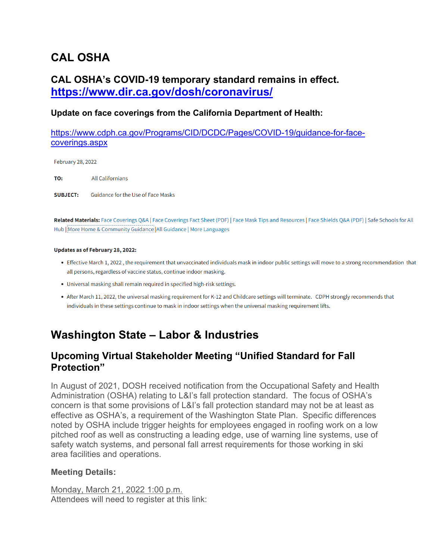# **CAL OSHA**

## **CAL OSHA's COVID-19 temporary standard remains in effect. <https://www.dir.ca.gov/dosh/coronavirus/>**

### **Update on face coverings from the California Department of Health:**

[https://www.cdph.ca.gov/Programs/CID/DCDC/Pages/COVID-19/guidance-for-face](https://www.cdph.ca.gov/Programs/CID/DCDC/Pages/COVID-19/guidance-for-face-coverings.aspx)[coverings.aspx](https://www.cdph.ca.gov/Programs/CID/DCDC/Pages/COVID-19/guidance-for-face-coverings.aspx)

February 28, 2022

TO: **All Californians** 

**SUBJECT:** Guidance for the Use of Face Masks

Related Materials: Face Coverings Q&A | Face Coverings Fact Sheet (PDF) | Face Mask Tips and Resources | Face Shields Q&A (PDF) | Safe Schools for All Hub | More Home & Community Guidance | All Guidance | More Languages

#### Updates as of February 28, 2022:

- Effective March 1, 2022, the requirement that unvaccinated individuals mask in indoor public settings will move to a strong recommendation that all persons, regardless of vaccine status, continue indoor masking.
- Universal masking shall remain required in specified high-risk settings.
- After March 11, 2022, the universal masking requirement for K-12 and Childcare settings will terminate. CDPH strongly recommends that individuals in these settings continue to mask in indoor settings when the universal masking requirement lifts.

## **Washington State – Labor & Industries**

### **Upcoming Virtual Stakeholder Meeting "Unified Standard for Fall Protection"**

In August of 2021, DOSH received notification from the Occupational Safety and Health Administration (OSHA) relating to L&I's fall protection standard. The focus of OSHA's concern is that some provisions of L&I's fall protection standard may not be at least as effective as OSHA's, a requirement of the Washington State Plan. Specific differences noted by OSHA include trigger heights for employees engaged in roofing work on a low pitched roof as well as constructing a leading edge, use of warning line systems, use of safety watch systems, and personal fall arrest requirements for those working in ski area facilities and operations.

#### **Meeting Details:**

Monday, March 21, 2022 1:00 p.m. Attendees will need to register at this link: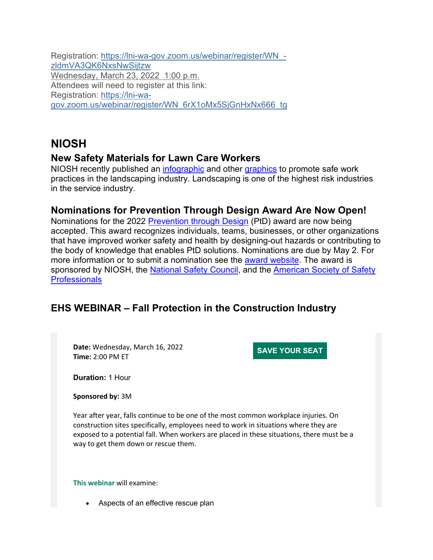Registration: [https://lni-wa-gov.zoom.us/webinar/register/WN\\_](https://lnks.gd/l/eyJhbGciOiJIUzI1NiJ9.eyJidWxsZXRpbl9saW5rX2lkIjoxMDEsInVyaSI6ImJwMjpjbGljayIsImJ1bGxldGluX2lkIjoiMjAyMjAzMDIuNTQyODE2MDEiLCJ1cmwiOiJodHRwczovL2xuaS13YS1nb3Yuem9vbS51cy93ZWJpbmFyL3JlZ2lzdGVyL1dOXy16bGRtVkEzUUs2TnhzTndTaWp0enc_dXRtX21lZGl1bT1lbWFpbCZ1dG1fc291cmNlPWdvdmRlbGl2ZXJ5In0.GWhw1DAsTNPTJj6tVRHZyUg-OeU6RImrRxEDNBRCn94/s/1522776501/br/127426505739-l) [zldmVA3QK6NxsNwSijtzw](https://lnks.gd/l/eyJhbGciOiJIUzI1NiJ9.eyJidWxsZXRpbl9saW5rX2lkIjoxMDEsInVyaSI6ImJwMjpjbGljayIsImJ1bGxldGluX2lkIjoiMjAyMjAzMDIuNTQyODE2MDEiLCJ1cmwiOiJodHRwczovL2xuaS13YS1nb3Yuem9vbS51cy93ZWJpbmFyL3JlZ2lzdGVyL1dOXy16bGRtVkEzUUs2TnhzTndTaWp0enc_dXRtX21lZGl1bT1lbWFpbCZ1dG1fc291cmNlPWdvdmRlbGl2ZXJ5In0.GWhw1DAsTNPTJj6tVRHZyUg-OeU6RImrRxEDNBRCn94/s/1522776501/br/127426505739-l) Wednesday, March 23, 2022 1:00 p.m. Attendees will need to register at this link: Registration: [https://lni-wa](https://lnks.gd/l/eyJhbGciOiJIUzI1NiJ9.eyJidWxsZXRpbl9saW5rX2lkIjoxMDIsInVyaSI6ImJwMjpjbGljayIsImJ1bGxldGluX2lkIjoiMjAyMjAzMDIuNTQyODE2MDEiLCJ1cmwiOiJodHRwczovL2xuaS13YS1nb3Yuem9vbS51cy93ZWJpbmFyL3JlZ2lzdGVyL1dOXzZyWDFvTXg1U2pHbkh4Tng2NjZfdGc_dXRtX21lZGl1bT1lbWFpbCZ1dG1fc291cmNlPWdvdmRlbGl2ZXJ5In0.b5gaDENMwj77loF9rKOY_SOgvgWYrl_SxvSMbIgoWx8/s/1522776501/br/127426505739-l)[gov.zoom.us/webinar/register/WN\\_6rX1oMx5SjGnHxNx666\\_tg](https://lnks.gd/l/eyJhbGciOiJIUzI1NiJ9.eyJidWxsZXRpbl9saW5rX2lkIjoxMDIsInVyaSI6ImJwMjpjbGljayIsImJ1bGxldGluX2lkIjoiMjAyMjAzMDIuNTQyODE2MDEiLCJ1cmwiOiJodHRwczovL2xuaS13YS1nb3Yuem9vbS51cy93ZWJpbmFyL3JlZ2lzdGVyL1dOXzZyWDFvTXg1U2pHbkh4Tng2NjZfdGc_dXRtX21lZGl1bT1lbWFpbCZ1dG1fc291cmNlPWdvdmRlbGl2ZXJ5In0.b5gaDENMwj77loF9rKOY_SOgvgWYrl_SxvSMbIgoWx8/s/1522776501/br/127426505739-l)

# **NIOSH**

### **New Safety Materials for Lawn Care Workers**

NIOSH recently published an [infographic](https://t.emailupdates.cdc.gov/r/?id=h5f4edbb0,1610a7ff,1613ca72&e=QUNTVHJhY2tpbmdJRD1VU0NEQ18xMF80LURNNzY5NjQmQUNTVHJhY2tpbmdMYWJlbD1OSU9TSCUyMGVOZXdzJTIwTUFSJTIwMjAyMg&s=LY95FJO_RoeckzbmLDD8HMAPcJpHEj6W1-hPD9QxwJI) and other [graphics](https://t.emailupdates.cdc.gov/r/?id=h5f4edbb0,1610a7ff,1613ca73&e=QUNTVHJhY2tpbmdJRD1VU0NEQ18xMF80LURNNzY5NjQmQUNTVHJhY2tpbmdMYWJlbD1OSU9TSCUyMGVOZXdzJTIwTUFSJTIwMjAyMg&s=EsE3zckbUAcL8NUAa06njMk3t7OJOwYkH2XZuVTe0Qs) to promote safe work practices in the landscaping industry. Landscaping is one of the highest risk industries in the service industry.

### **Nominations for Prevention Through Design Award Are Now Open!**

Nominations for the 2022 [Prevention through Design](https://t.emailupdates.cdc.gov/r/?id=h5f4edbb0,1610a7ff,1613c9b8&e=QUNTVHJhY2tpbmdJRD1VU0NEQ18xMF80LURNNzY5NjQmQUNTVHJhY2tpbmdMYWJlbD1OSU9TSCUyMGVOZXdzJTIwTUFSJTIwMjAyMg&s=GIoD32mHbD9SXzvbltxEm-rY38MkU-KxdWANSgOY0uk) (PtD) award are now being accepted. This award recognizes individuals, teams, businesses, or other organizations that have improved worker safety and health by designing-out hazards or contributing to the body of knowledge that enables PtD solutions. Nominations are due by May 2. For more information or to submit a nomination see the **award website**. The award is sponsored by NIOSH, the [National Safety Council,](https://t.emailupdates.cdc.gov/r/?id=h5f4edbb0,1610a7ff,1613c9ba&e=QUNTVHJhY2tpbmdJRD1VU0NEQ18xMF80LURNNzY5NjQmQUNTVHJhY2tpbmdMYWJlbD1OSU9TSCUyMGVOZXdzJTIwTUFSJTIwMjAyMg&s=TTgU9HGfhoX_bquhI5TkPIxvWG92uU7TbjUyXDbd8X8) and the American Society of Safety **[Professionals](https://t.emailupdates.cdc.gov/r/?id=h5f4edbb0,1610a7ff,1613c9bb&e=QUNTVHJhY2tpbmdJRD1VU0NEQ18xMF80LURNNzY5NjQmQUNTVHJhY2tpbmdMYWJlbD1OSU9TSCUyMGVOZXdzJTIwTUFSJTIwMjAyMg&s=ZLtixCRTthpenaSH6C_GeBIZjYFYoeVY5Q0zM4dbBsc)** 

## **EHS WEBINAR – Fall Protection in the Construction Industry**

**Date:** Wednesday, March 16, 2022 **Time:** 2:00 PM ET

**SAVE [YOUR](https://endeavor.omeclk.com/portal/wts/ugmc%7C9egy-zaehzD66jC6tA82fnejVvTcCfHR9vMzYbYPk2wO0nxfCPhSqEM1nDQ2w5q53a) SEAT**

**Duration:** 1 Hour

**Sponsored by:** 3M

Year after year, falls continue to be one of the most common workplace injuries. On construction sites specifically, employees need to work in situations where they are exposed to a potential fall. When workers are placed in these situations, there must be a way to get them down or rescue them.

**[This webinar](https://endeavor.omeclk.com/portal/wts/ugmc%7C9egy-zaehzD66jC6tA86fnejVvTcCfHR9vMzYbYPk2wO0nxfCPhSqEM1nDQ2w5q53a)** will examine:

• Aspects of an effective rescue plan